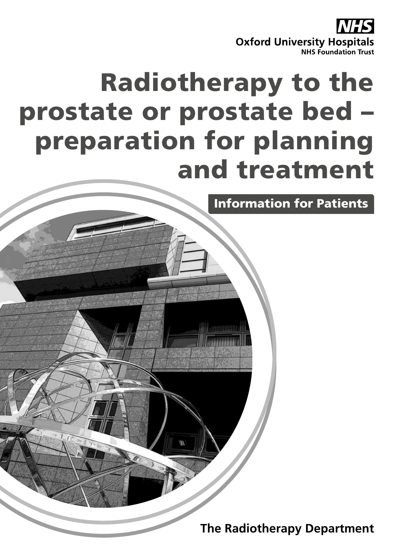

# Radiotherapy to the prostate or prostate bed – preparation for planning and treatment

Information for Patients

**The Radiotherapy Department**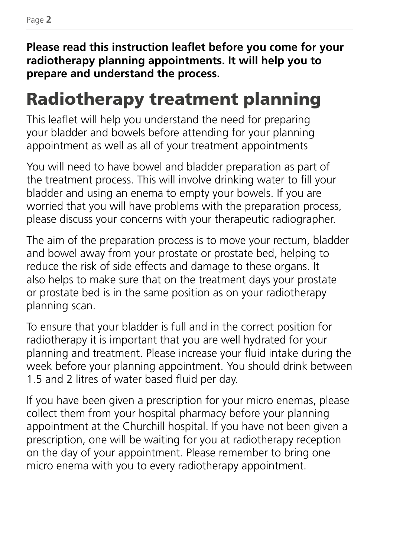**Please read this instruction leaflet before you come for your radiotherapy planning appointments. It will help you to prepare and understand the process.**

### Radiotherapy treatment planning

This leaflet will help you understand the need for preparing your bladder and bowels before attending for your planning appointment as well as all of your treatment appointments

You will need to have bowel and bladder preparation as part of the treatment process. This will involve drinking water to fill your bladder and using an enema to empty your bowels. If you are worried that you will have problems with the preparation process, please discuss your concerns with your therapeutic radiographer.

The aim of the preparation process is to move your rectum, bladder and bowel away from your prostate or prostate bed, helping to reduce the risk of side effects and damage to these organs. It also helps to make sure that on the treatment days your prostate or prostate bed is in the same position as on your radiotherapy planning scan.

To ensure that your bladder is full and in the correct position for radiotherapy it is important that you are well hydrated for your planning and treatment. Please increase your fluid intake during the week before your planning appointment. You should drink between 1.5 and 2 litres of water based fluid per day.

If you have been given a prescription for your micro enemas, please collect them from your hospital pharmacy before your planning appointment at the Churchill hospital. If you have not been given a prescription, one will be waiting for you at radiotherapy reception on the day of your appointment. Please remember to bring one micro enema with you to every radiotherapy appointment.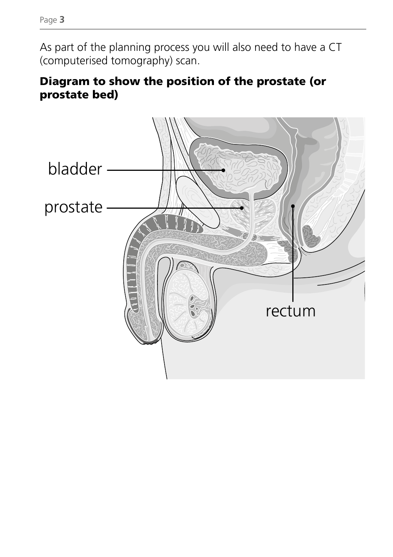As part of the planning process you will also need to have a CT (computerised tomography) scan.

#### Diagram to show the position of the prostate (or prostate bed)

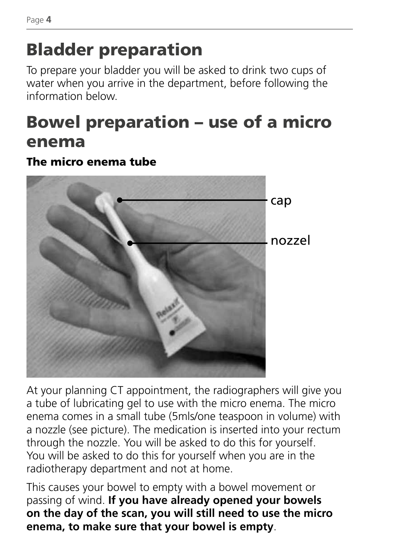## Bladder preparation

To prepare your bladder you will be asked to drink two cups of water when you arrive in the department, before following the information below.

# Bowel preparation – use of a micro enema

#### The micro enema tube



At your planning CT appointment, the radiographers will give you a tube of lubricating gel to use with the micro enema. The micro enema comes in a small tube (5mls/one teaspoon in volume) with a nozzle (see picture). The medication is inserted into your rectum through the nozzle. You will be asked to do this for yourself. You will be asked to do this for yourself when you are in the radiotherapy department and not at home.

This causes your bowel to empty with a bowel movement or passing of wind. **If you have already opened your bowels on the day of the scan, you will still need to use the micro enema, to make sure that your bowel is empty**.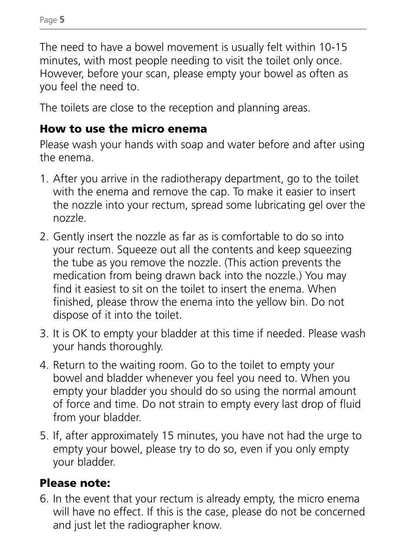The need to have a bowel movement is usually felt within 10-15 minutes, with most people needing to visit the toilet only once. However, before your scan, please empty your bowel as often as you feel the need to.

The toilets are close to the reception and planning areas.

#### How to use the micro enema

Please wash your hands with soap and water before and after using the enema.

- 1. After you arrive in the radiotherapy department, go to the toilet with the enema and remove the cap. To make it easier to insert the nozzle into your rectum, spread some lubricating gel over the nozzle.
- 2. Gently insert the nozzle as far as is comfortable to do so into your rectum. Squeeze out all the contents and keep squeezing the tube as you remove the nozzle. (This action prevents the medication from being drawn back into the nozzle.) You may find it easiest to sit on the toilet to insert the enema. When finished, please throw the enema into the yellow bin. Do not dispose of it into the toilet.
- 3. It is OK to empty your bladder at this time if needed. Please wash your hands thoroughly.
- 4. Return to the waiting room. Go to the toilet to empty your bowel and bladder whenever you feel you need to. When you empty your bladder you should do so using the normal amount of force and time. Do not strain to empty every last drop of fluid from your bladder.
- 5. If, after approximately 15 minutes, you have not had the urge to empty your bowel, please try to do so, even if you only empty your bladder.

#### Please note:

6. In the event that your rectum is already empty, the micro enema will have no effect. If this is the case, please do not be concerned and just let the radiographer know.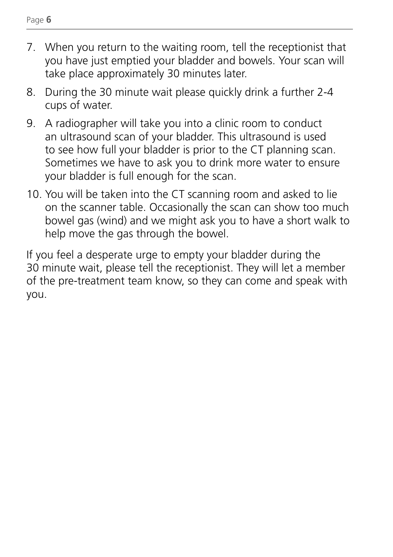- 7. When you return to the waiting room, tell the receptionist that you have just emptied your bladder and bowels. Your scan will take place approximately 30 minutes later.
- 8. During the 30 minute wait please quickly drink a further 2-4 cups of water.
- 9. A radiographer will take you into a clinic room to conduct an ultrasound scan of your bladder. This ultrasound is used to see how full your bladder is prior to the CT planning scan. Sometimes we have to ask you to drink more water to ensure your bladder is full enough for the scan.
- 10. You will be taken into the CT scanning room and asked to lie on the scanner table. Occasionally the scan can show too much bowel gas (wind) and we might ask you to have a short walk to help move the gas through the bowel.

If you feel a desperate urge to empty your bladder during the 30 minute wait, please tell the receptionist. They will let a member of the pre-treatment team know, so they can come and speak with you.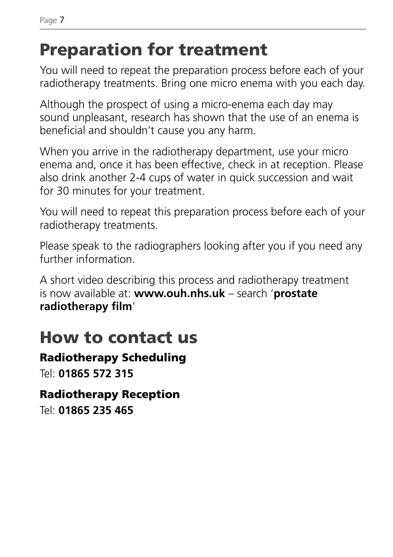### Preparation for treatment

You will need to repeat the preparation process before each of your radiotherapy treatments. Bring one micro enema with you each day.

Although the prospect of using a micro-enema each day may sound unpleasant, research has shown that the use of an enema is beneficial and shouldn't cause you any harm.

When you arrive in the radiotherapy department, use your micro enema and, once it has been effective, check in at reception. Please also drink another 2-4 cups of water in quick succession and wait for 30 minutes for your treatment.

You will need to repeat this preparation process before each of your radiotherapy treatments.

Please speak to the radiographers looking after you if you need any further information.

A short video describing this process and radiotherapy treatment is now available at: **www.ouh.nhs.uk** – search '**prostate radiotherapy film**'

### How to contact us

Radiotherapy Scheduling

Tel: **01865 572 315**

Radiotherapy Reception

Tel: **01865 235 465**